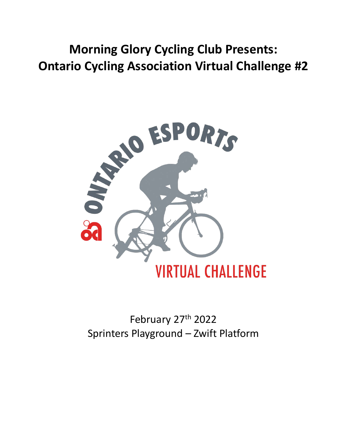# **Morning Glory Cycling Club Presents: Ontario Cycling Association Virtual Challenge #2**



February 27<sup>th</sup> 2022 Sprinters Playground – Zwift Platform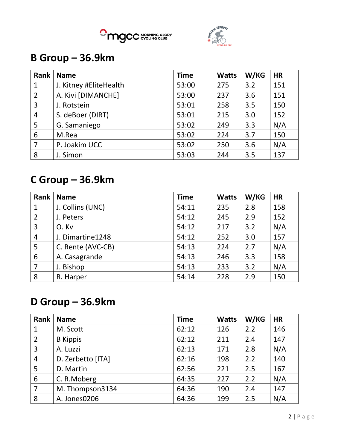



### **B Group – 36.9km**

| Rank           | <b>Name</b>            | <b>Time</b> | <b>Watts</b> | W/KG | <b>HR</b> |
|----------------|------------------------|-------------|--------------|------|-----------|
| 1              | J. Kitney #EliteHealth | 53:00       | 275          | 3.2  | 151       |
| 2              | A. Kivi [DIMANCHE]     | 53:00       | 237          | 3.6  | 151       |
| 3              | J. Rotstein            | 53:01       | 258          | 3.5  | 150       |
| 4              | S. deBoer (DIRT)       | 53:01       | 215          | 3.0  | 152       |
| 5              | G. Samaniego           | 53:02       | 249          | 3.3  | N/A       |
| 6              | M.Rea                  | 53:02       | 224          | 3.7  | 150       |
| $\overline{7}$ | P. Joakim UCC          | 53:02       | 250          | 3.6  | N/A       |
| 8              | J. Simon               | 53:03       | 244          | 3.5  | 137       |

## **C Group – 36.9km**

| Rank           | <b>Name</b>       | <b>Time</b> | <b>Watts</b> | W/KG | <b>HR</b> |
|----------------|-------------------|-------------|--------------|------|-----------|
| $\mathbf{1}$   | J. Collins (UNC)  | 54:11       | 235          | 2.8  | 158       |
| $\overline{2}$ | J. Peters         | 54:12       | 245          | 2.9  | 152       |
| $\overline{3}$ | O.Kv              | 54:12       | 217          | 3.2  | N/A       |
| $\overline{4}$ | J. Dimartine1248  | 54:12       | 252          | 3.0  | 157       |
| 5              | C. Rente (AVC-CB) | 54:13       | 224          | 2.7  | N/A       |
| 6              | A. Casagrande     | 54:13       | 246          | 3.3  | 158       |
| $\overline{7}$ | J. Bishop         | 54:13       | 233          | 3.2  | N/A       |
| 8              | R. Harper         | 54:14       | 228          | 2.9  | 150       |

### **D Group – 36.9km**

| <b>Rank</b>     | <b>Name</b>       | <b>Time</b> | <b>Watts</b> | W/KG | <b>HR</b> |
|-----------------|-------------------|-------------|--------------|------|-----------|
| $\mathbf{1}$    | M. Scott          | 62:12       | 126          | 2.2  | 146       |
| $\overline{2}$  | <b>B</b> Kippis   | 62:12       | 211          | 2.4  | 147       |
| 3               | A. Luzzi          | 62:13       | 171          | 2.8  | N/A       |
| $\overline{4}$  | D. Zerbetto [ITA] | 62:16       | 198          | 2.2  | 140       |
| 5               | D. Martin         | 62:56       | 221          | 2.5  | 167       |
| $6\phantom{1}6$ | C. R. Moberg      | 64:35       | 227          | 2.2  | N/A       |
| $\overline{7}$  | M. Thompson3134   | 64:36       | 190          | 2.4  | 147       |
| 8               | A. Jones0206      | 64:36       | 199          | 2.5  | N/A       |